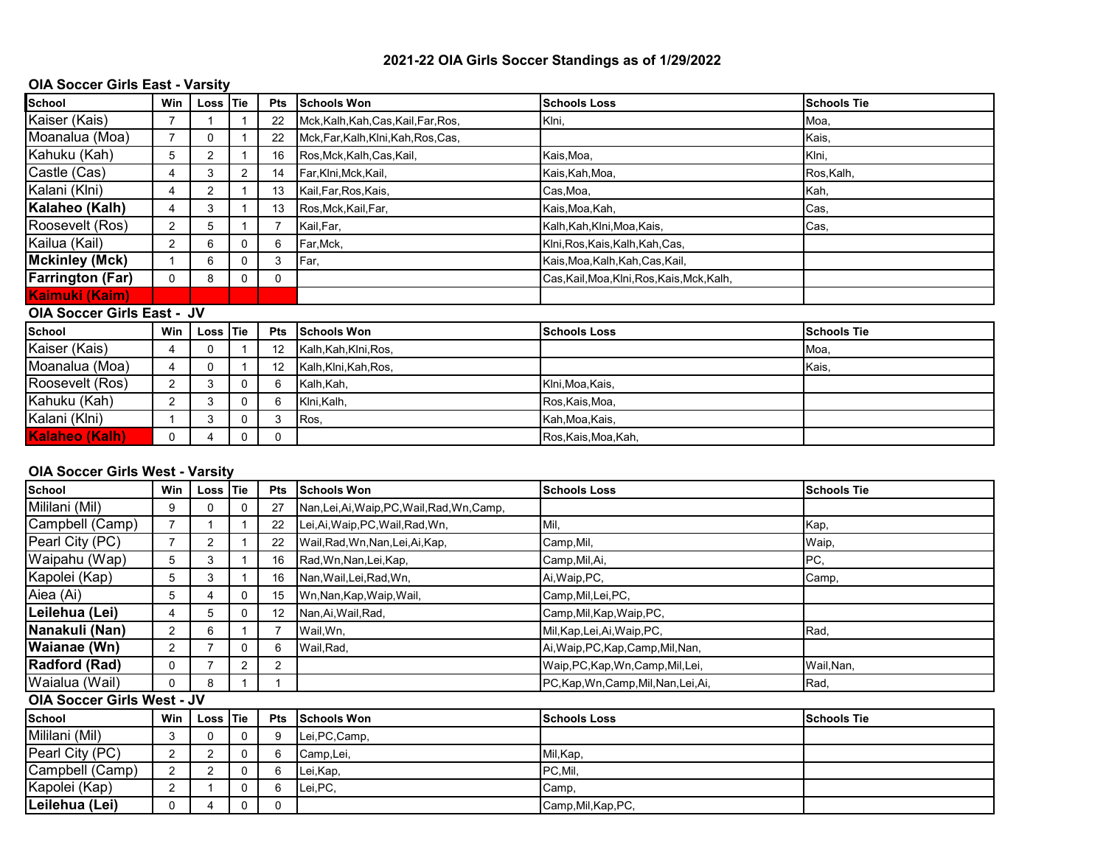## **2021-22 OIA Girls Soccer Standings as of 1/29/2022**

## **OIA Soccer Girls East - Varsity**

| School                            | Win            | Loss Tie       |   | <b>Pts</b> | <b>Schools Won</b>                   | <b>Schools Loss</b>                         | <b>Schools Tie</b> |  |  |
|-----------------------------------|----------------|----------------|---|------------|--------------------------------------|---------------------------------------------|--------------------|--|--|
| Kaiser (Kais)                     |                |                |   | 22         | Mck, Kalh, Kah, Cas, Kail, Far, Ros, | Klni,                                       | Moa,               |  |  |
| Moanalua (Moa)                    | $\overline{7}$ | 0              |   | 22         | Mck, Far, Kalh, Klni, Kah, Ros, Cas, |                                             | Kais,              |  |  |
| Kahuku (Kah)                      | 5              | $\overline{2}$ |   | 16         | Ros, Mck, Kalh, Cas, Kail,           | Kais,Moa,                                   | Klni,              |  |  |
| Castle (Cas)                      | 4              | 3              |   | 14         | Far, Klni, Mck, Kail,                | Kais,Kah,Moa,                               | Ros, Kalh,         |  |  |
| Kalani (Klni)                     | 4              | $\overline{2}$ |   | 13         | Kail, Far, Ros, Kais,                | Cas,Moa,                                    | Kah,               |  |  |
| Kalaheo (Kalh)                    | 4              | 3              |   | 13         | Ros, Mck, Kail, Far,                 | Kais,Moa,Kah,                               | Cas,               |  |  |
| Roosevelt (Ros)                   | $\overline{2}$ | 5              |   |            | Kail, Far,                           | Kalh, Kah, Klni, Moa, Kais,                 | Cas,               |  |  |
| Kailua (Kail)                     | $\overline{2}$ | 6              | 0 | 6          | Far,Mck,                             | Klni, Ros, Kais, Kalh, Kah, Cas,            |                    |  |  |
| Mckinley (Mck)                    |                | 6              | 0 | 3          | Far,                                 | Kais, Moa, Kalh, Kah, Cas, Kail,            |                    |  |  |
| <b>Farrington (Far)</b>           | 0              | 8              | 0 | 0          |                                      | Cas, Kail, Moa, Klni, Ros, Kais, Mck, Kalh, |                    |  |  |
| Kaimuki (Kaim)                    |                |                |   |            |                                      |                                             |                    |  |  |
| <b>OIA Soccer Girls East - JV</b> |                |                |   |            |                                      |                                             |                    |  |  |
| <b>School</b>                     | Win            | Loss Tie       |   | Pts        | <b>Schools Won</b>                   | <b>Schools Loss</b>                         | <b>Schools Tie</b> |  |  |
| Kaiser (Kais)                     | 4              | 0              |   | 12         | Kalh, Kah, Klni, Ros,                |                                             | Moa,               |  |  |
| Moanalua (Moa)                    | 4              | 0              |   | 12         | Kalh, Klni, Kah, Ros,                |                                             | Kais,              |  |  |
| Roosevelt (Ros)                   | 2              | 3              | 0 | 6          | Kalh, Kah,                           | Klni, Moa, Kais,                            |                    |  |  |
| Kahuku (Kah)                      | 2              | 3              | 0 | 6          | Klni, Kalh,                          | Ros, Kais, Moa,                             |                    |  |  |
| Kalani (Klni)                     |                | 3              | 0 | 3          | Ros,                                 | Kah, Moa, Kais,                             |                    |  |  |
| Kalaheo (Kalh)                    | 0              | 4              | 0 | 0          |                                      | Ros, Kais, Moa, Kah,                        |                    |  |  |

## **OIA Soccer Girls West - Varsity**

| School                            | Win            | Loss Tie |   | <b>Pts</b> | <b>Schools Won</b>                           | <b>Schools Loss</b>                   | <b>Schools Tie</b> |  |  |
|-----------------------------------|----------------|----------|---|------------|----------------------------------------------|---------------------------------------|--------------------|--|--|
| Mililani (Mil)                    | 9              | 0        | 0 | 27         | Nan, Lei, Ai, Waip, PC, Wail, Rad, Wn, Camp, |                                       |                    |  |  |
| Campbell (Camp)                   | $\overline{7}$ |          |   | 22         | Lei, Ai, Waip, PC, Wail, Rad, Wn,            | Mil.                                  | Kap,               |  |  |
| Pearl City (PC)                   |                | 2        |   | 22         | Wail, Rad, Wn, Nan, Lei, Ai, Kap,            | Camp,Mil,                             | Waip,              |  |  |
| Waipahu (Wap)                     | 5              | 3        |   | 16         | Rad, Wn, Nan, Lei, Kap,                      | Camp,Mil,Ai,                          | PC,                |  |  |
| Kapolei (Kap)                     | 5              | 3        |   | 16         | Nan, Wail, Lei, Rad, Wn,                     | Ai, Waip, PC,                         | Camp,              |  |  |
| Aiea (Ai)                         | 5              | 4        | Ü | 15         | Wn, Nan, Kap, Waip, Wail,                    | Camp, Mil, Lei, PC,                   |                    |  |  |
| Leilehua (Lei)                    | 4              | 5        |   | 12         | Nan, Ai, Wail, Rad,                          | Camp, Mil, Kap, Waip, PC,             |                    |  |  |
| Nanakuli (Nan)                    | $\overline{2}$ | 6        |   |            | Wail, Wn,                                    | Mil, Kap, Lei, Ai, Waip, PC,          | Rad,               |  |  |
| Waianae (Wn)                      | $\overline{2}$ |          | 0 | 6          | Wail, Rad,                                   | Ai, Waip, PC, Kap, Camp, Mil, Nan,    |                    |  |  |
| Radford (Rad)                     | $\mathbf 0$    |          | 2 | 2          |                                              | Waip, PC, Kap, Wn, Camp, Mil, Lei,    | Wail, Nan,         |  |  |
| Waialua (Wail)                    | 0              | 8        |   |            |                                              | PC, Kap, Wn, Camp, Mil, Nan, Lei, Ai, | Rad,               |  |  |
| <b>OIA Soccer Girls West - JV</b> |                |          |   |            |                                              |                                       |                    |  |  |
| <b>School</b>                     | Win            | Loss Tie |   | <b>Pts</b> | <b>Schools Won</b>                           | <b>Schools Loss</b>                   | <b>Schools Tie</b> |  |  |
| Mililani (Mil)                    | 3              | 0        | Ü | 9          | Lei, PC, Camp,                               |                                       |                    |  |  |
| Pearl City (PC)                   | $\overline{2}$ | 2        | 0 | 6          | Camp, Lei,                                   | Mil, Kap,                             |                    |  |  |
| Campbell (Camp)                   | $\overline{2}$ | 2        | 0 | 6          | Lei, Kap,                                    | PC, Mil,                              |                    |  |  |
| Kapolei (Kap)                     | 2              |          |   | 6          | Lei, PC,                                     | Camp,                                 |                    |  |  |
| Leilehua (Lei)                    | 0              | 4        | 0 | 0          |                                              | Camp, Mil, Kap, PC,                   |                    |  |  |